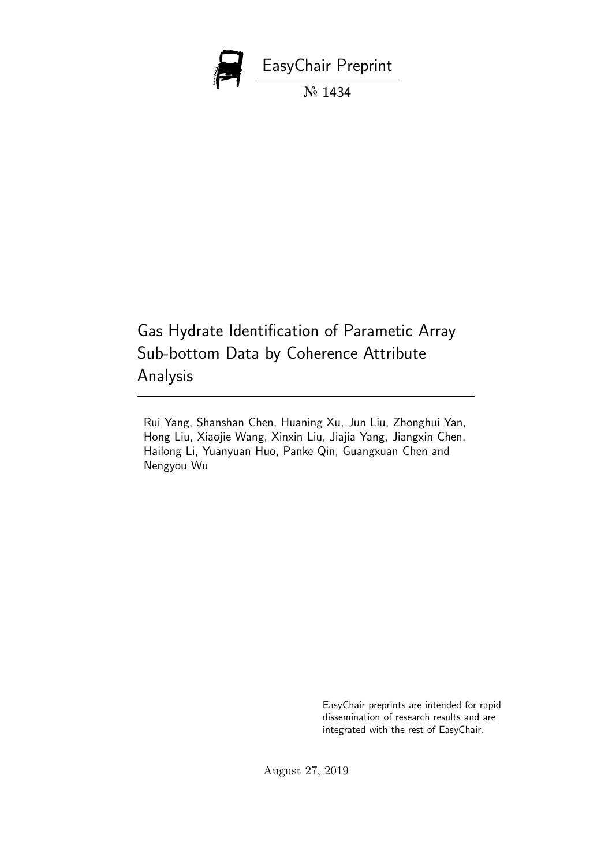

Gas Hydrate Identification of Parametic Array Sub-bottom Data by Coherence Attribute Analysis

Rui Yang, Shanshan Chen, Huaning Xu, Jun Liu, Zhonghui Yan, Hong Liu, Xiaojie Wang, Xinxin Liu, Jiajia Yang, Jiangxin Chen, Hailong Li, Yuanyuan Huo, Panke Qin, Guangxuan Chen and Nengyou Wu

> EasyChair preprints are intended for rapid dissemination of research results and are integrated with the rest of EasyChair.

August 27, 2019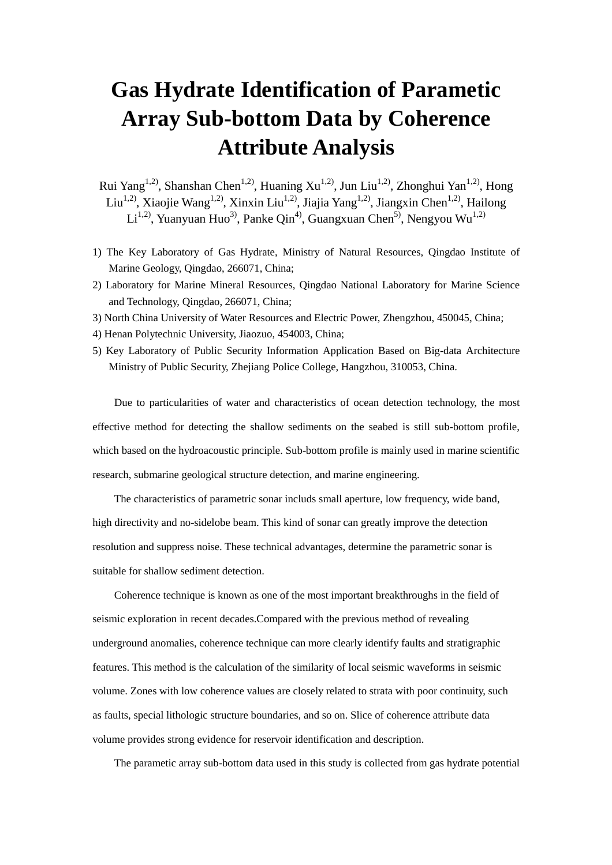## **Gas Hydrate Identification of Parametic Array Sub-bottom Data by Coherence Attribute Analysis**

Rui Yang<sup>1,2)</sup>, Shanshan Chen<sup>1,2)</sup>, Huaning Xu<sup>1,2)</sup>, Jun Liu<sup>1,2)</sup>, Zhonghui Yan<sup>1,2)</sup>, Hong Liu<sup>1,2)</sup>, Xiaojie Wang<sup>1,2)</sup>, Xinxin Liu<sup>1,2)</sup>, Jiajia Yang<sup>1,2)</sup>, Jiangxin Chen<sup>1,2)</sup>, Hailong Li<sup>1,2)</sup>, Yuanyuan Huo<sup>3)</sup>, Panke Qin<sup>4)</sup>, Guangxuan Chen<sup>5)</sup>, Nengyou Wu<sup>1,2)</sup>

- 1) The Key Laboratory of Gas Hydrate, Ministry of Natural Resources, Qingdao Institute of Marine Geology, Qingdao, 266071, China;
- 2) Laboratory for Marine Mineral Resources, Qingdao National Laboratory for Marine Science and Technology, Qingdao, 266071, China;
- 3) North China University of Water Resources and Electric Power, Zhengzhou, 450045, China;
- 4) Henan Polytechnic University, Jiaozuo, 454003, China;
- 5) Key Laboratory of Public Security Information Application Based on Big-data Architecture Ministry of Public Security, Zhejiang Police College, Hangzhou, 310053, China.

Due to particularities of water and characteristics of ocean detection technology, the most effective method for detecting the shallow sediments on the seabed is still sub-bottom profile, which based on the hydroacoustic principle. Sub-bottom profile is mainly used in marine scientific research, submarine geological structure detection, and marine engineering.

The characteristics of parametric sonar includs small aperture, low frequency, wide band, high directivity and no-sidelobe beam. This kind of sonar can greatly improve the detection resolution and suppress noise. These technical advantages, determine the parametric sonar is suitable for shallow sediment detection.

Coherence technique is known as one of the most important breakthroughs in the field of seismic exploration in recent decades.Compared with the previous method of revealing underground anomalies, coherence technique can more clearly identify faults and stratigraphic features. This method is the calculation of the similarity of local seismic waveforms in seismic volume. Zones with low coherence values are closely related to strata with poor continuity, such as faults, special lithologic structure boundaries, and so on. Slice of coherence attribute data volume provides strong evidence for reservoir identification and description.

The parametic array sub-bottom data used in this study is collected from gas hydrate potential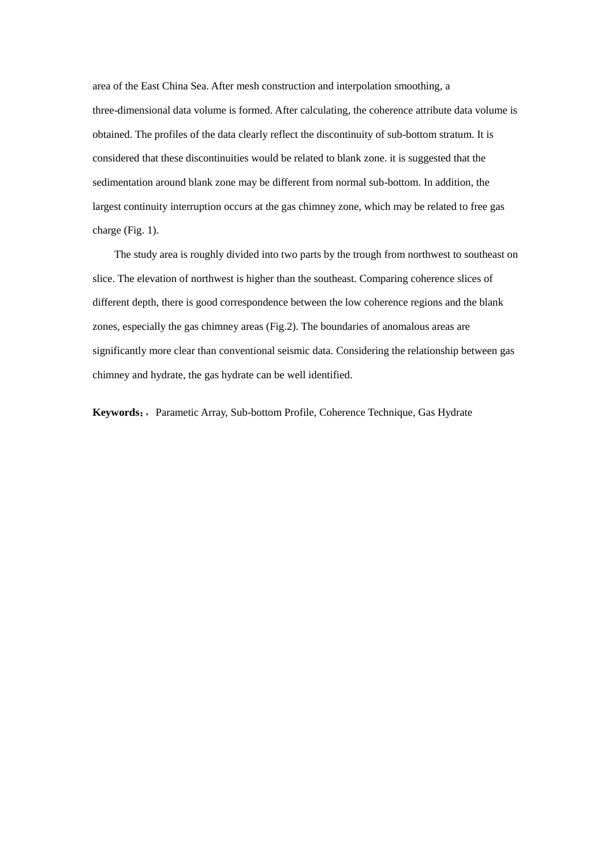area of the East China Sea. After mesh construction and interpolation smoothing, a three-dimensional data volume is formed. After calculating, the coherence attribute data volume is obtained. The profiles of the data clearly reflect the discontinuity of sub-bottom stratum. It is considered that these discontinuities would be related to blank zone. it is suggested that the sedimentation around blank zone may be different from normal sub-bottom. In addition, the largest continuity interruption occurs at the gas chimney zone, which may be related to free gas charge (Fig. 1).

The study area is roughly divided into two parts by the trough from northwest to southeast on slice. The elevation of northwest is higher than the southeast. Comparing coherence slices of different depth, there is good correspondence between the low coherence regions and the blank zones, especially the gas chimney areas (Fig.2). The boundaries of anomalous areas are significantly more clear than conventional seismic data. Considering the relationship between gas chimney and hydrate, the gas hydrate can be well identified.

**Keywords**:,Parametic Array, Sub-bottom Profile, Coherence Technique, Gas Hydrate